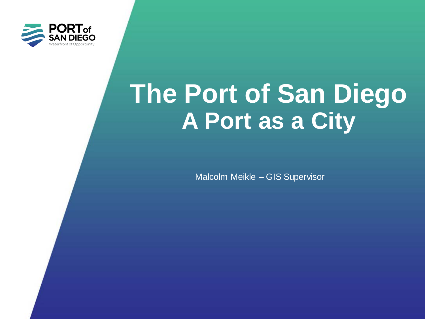

# **The Port of San Diego A Port as a City**

Malcolm Meikle – GIS Supervisor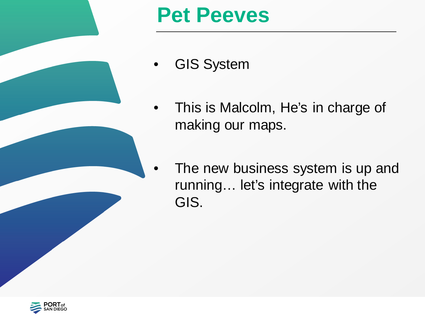

# **Pet Peeves**

- GIS System
- This is Malcolm, He's in charge of making our maps.
	- The new business system is up and running… let's integrate with the GIS.

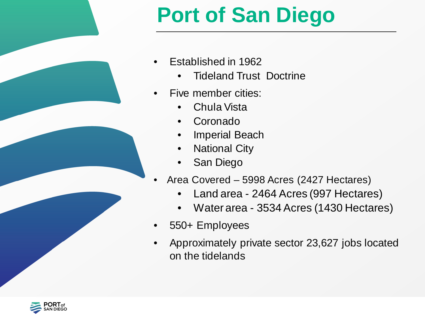

# **Port of San Diego**

- Established in 1962
	- Tideland Trust Doctrine
- Five member cities:
	- Chula Vista
	- **Coronado**
	- Imperial Beach
	- National City
	- San Diego
- Area Covered 5998 Acres (2427 Hectares)
	- Land area 2464 Acres (997 Hectares)
	- Water area 3534 Acres (1430 Hectares)
- 550+ Employees
- Approximately private sector 23,627 jobs located on the tidelands

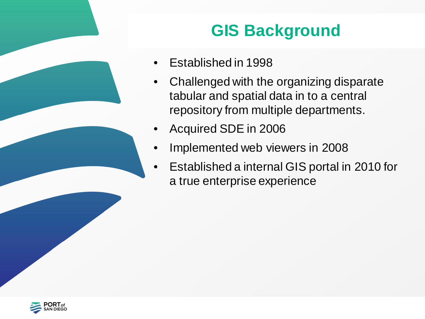## **GIS Background**

- Established in 1998
- Challenged with the organizing disparate tabular and spatial data in to a central repository from multiple departments.
- Acquired SDE in 2006
- Implemented web viewers in 2008
- Established a internal GIS portal in 2010 for a true enterprise experience

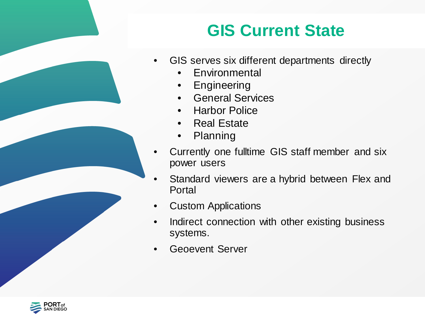## **GIS Current State**

- GIS serves six different departments directly
	- Environmental
	- Engineering
	- General Services
	- Harbor Police
	- Real Estate
	- Planning
- Currently one fulltime GIS staff member and six power users
- Standard viewers are a hybrid between Flex and Portal
- Custom Applications
- Indirect connection with other existing business systems.
- Geoevent Server

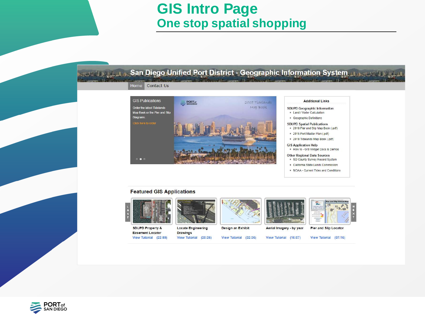### **GIS Intro Page One stop spatial shopping**

#### السابط السلطاني المستعمر المستعمر المستعمر المستعمر المستعمر المستعمر المستعمر المستعمر المستعمر المستعمر

#### Home Contact Us



#### **Featured GIS Applications**



**SDUPD Property & Easement Locator** View Tutorial (22:59)



**Locate Engineering Drawings** View Tutorial (20:26)



View Tutorial (32:36)

Aerial Imagery - by year



**Additional Links** 



**Pier and Slip Locator** 

View Tutorial (16:07)

View Tutorial (07:16)

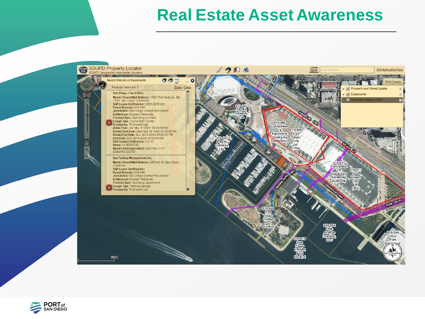### **Real Estate Asset Awareness**



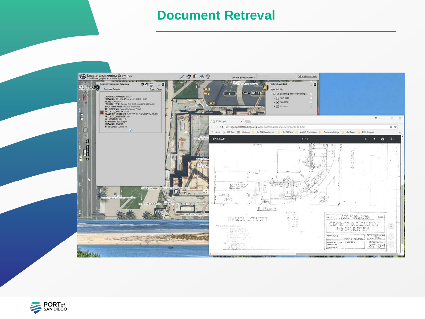#### **Document Retreval**



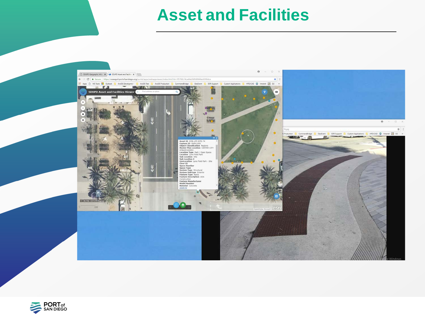### **Asset and Facilities**



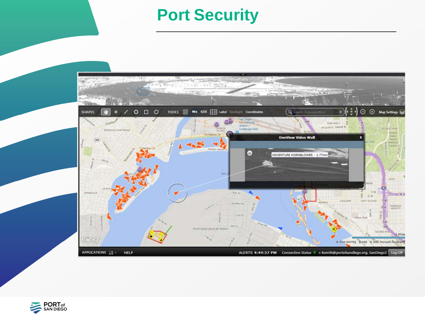### **Port Security**



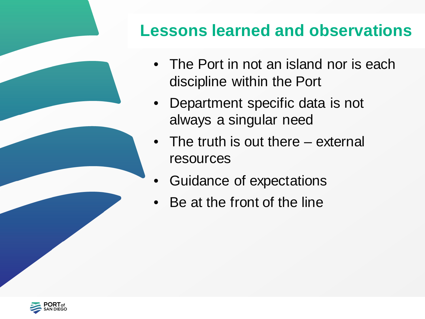## **Lessons learned and observations**

- The Port in not an island nor is each discipline within the Port
- Department specific data is not always a singular need
- The truth is out there external resources
- Guidance of expectations
- Be at the front of the line

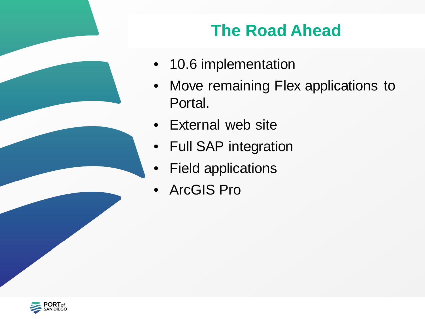## **The Road Ahead**

- 10.6 implementation
- Move remaining Flex applications to Portal.
- External web site
- Full SAP integration
- Field applications
- ArcGIS Pro